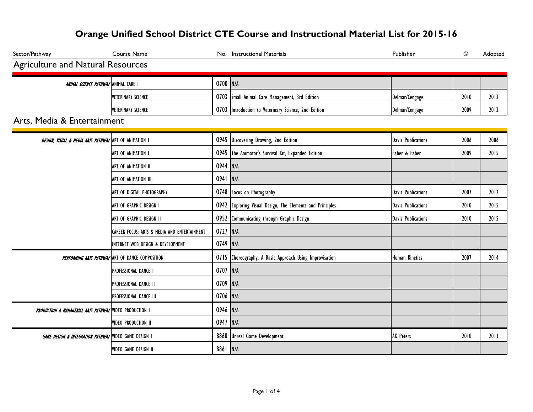| Sector/Pathway                                                    | Course Name                                             |                 | No. Instructional Materials                               | Publisher                 | $\odot$ | Adopted |  |  |
|-------------------------------------------------------------------|---------------------------------------------------------|-----------------|-----------------------------------------------------------|---------------------------|---------|---------|--|--|
| <b>Agriculture and Natural Resources</b>                          |                                                         |                 |                                                           |                           |         |         |  |  |
| <b>ANIMAL SCIENCE PATHWAY ANIMAL CARE I</b>                       |                                                         | 0700 N/A        |                                                           |                           |         |         |  |  |
|                                                                   | <b>VETERINARY SCIENCE</b>                               |                 | 0703 Small Animal Care Management, 3rd Edition            | Delmar/Cengage            | 2010    | 2012    |  |  |
|                                                                   | <b>VETERINARY SCIENCE</b>                               |                 | 0703 Introduction to Veterinary Science, 2nd Edition      | Delmar/Cengage            | 2009    | 2012    |  |  |
| Arts, Media & Entertainment                                       |                                                         |                 |                                                           |                           |         |         |  |  |
| <b>DESIGN, VISUAL &amp; MEDIA ARTS PATHWAY</b> ART OF ANIMATION I |                                                         | 0945            | Discovering Drawing, 2nd Edition                          | <b>Davis Publications</b> | 2006    | 2006    |  |  |
|                                                                   | ART OF ANIMATION I                                      |                 | 0945 The Animator's Survival Kit, Expanded Edition        | Faber & Faber             | 2009    | 2015    |  |  |
|                                                                   | ART OF ANIMATION II                                     | 0944 N/A        |                                                           |                           |         |         |  |  |
|                                                                   | ART OF ANIMATION III                                    | 0941            | N/A                                                       |                           |         |         |  |  |
|                                                                   | ART OF DIGITAL PHOTOGRAPHY                              |                 | 0748 Focus on Photography                                 | <b>Davis Publications</b> | 2007    | 2012    |  |  |
|                                                                   | ART OF GRAPHIC DESIGN I                                 |                 | 0942 Exploring Visual Design, The Elements and Principles | <b>Davis Publications</b> | 2010    | 2015    |  |  |
|                                                                   | ART OF GRAPHIC DESIGN II                                |                 | 0952 Communicating through Graphic Design                 | <b>Davis Publications</b> | 2010    | 2015    |  |  |
|                                                                   | CAREER FOCUS: ARTS & MEDIA AND ENTERTAINMENT            | 0727 N/A        |                                                           |                           |         |         |  |  |
|                                                                   | INTERNET WEB DESIGN & DEVELOPMENT                       | 0749 N/A        |                                                           |                           |         |         |  |  |
|                                                                   | <b>PERFORMING ARTS PATHWAY</b> ART OF DANCE COMPOSITION |                 | 0715 Choreography, A Basic Approach Using Improvisation   | Human Kinetics            | 2007    | 2014    |  |  |
|                                                                   | PROFESSIONAL DANCE I                                    | 0707 N/A        |                                                           |                           |         |         |  |  |
|                                                                   | PROFESSIONAL DANCE II                                   | 0709 N/A        |                                                           |                           |         |         |  |  |
|                                                                   | PROFESSIONAL DANCE III                                  | 0706 N/A        |                                                           |                           |         |         |  |  |
| PRODUCTION & MANAGERIAL ARTS PATHWAY VIDEO PRODUCTION I           |                                                         | 0946 N/A        |                                                           |                           |         |         |  |  |
|                                                                   | VIDEO PRODUCTION II                                     | 0947 N/A        |                                                           |                           |         |         |  |  |
| <b>GAME DESIGN &amp; INTEGRATION PATHWAY</b> VIDEO GAME DESIGN I  |                                                         | <b>B860</b>     | <b>Unreal Game Development</b>                            | <b>AK Peters</b>          | 2010    | 2011    |  |  |
|                                                                   | VIDEO GAME DESIGN II                                    | <b>B861 N/A</b> |                                                           |                           |         |         |  |  |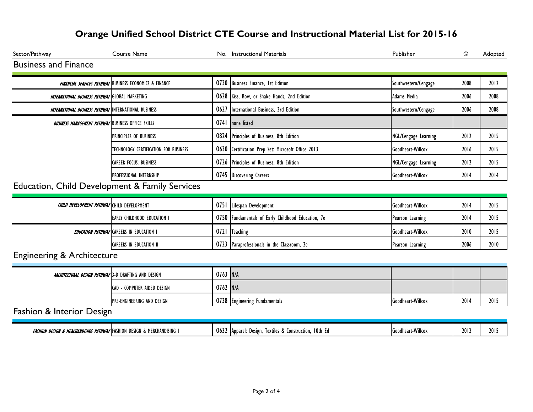| Sector/Pathway                                            | Course Name                                                        |          | No. Instructional Materials                        | Publisher                | $\circledcirc$ | Adopted |  |
|-----------------------------------------------------------|--------------------------------------------------------------------|----------|----------------------------------------------------|--------------------------|----------------|---------|--|
| <b>Business and Finance</b>                               |                                                                    |          |                                                    |                          |                |         |  |
|                                                           | <b>FINANCIAL SERVICES PATHWAY BUSINESS ECONOMICS &amp; FINANCE</b> |          | 0730 Business Finance, 1st Edition                 | Southwestern/Cengage     | 2008           | 2012    |  |
| INTERNATIONAL BUSINESS PATHWAY GLOBAL MARKETING           |                                                                    |          | 0628 Kiss, Bow, or Shake Hands, 2nd Edition        | Adams Media              | 2006           | 2008    |  |
| INTERNATIONAL BUSINESS PATHWAY INTERNATIONAL BUSINESS     |                                                                    |          | 0627 International Business, 3rd Edition           | Southwestern/Cengage     | 2006           | 2008    |  |
| <b>BUSINESS MANAGEMENT PATHWAY BUSINESS OFFICE SKILLS</b> |                                                                    |          | 0741 none listed                                   |                          |                |         |  |
|                                                           | <b>PRINCIPLES OF BUSINESS</b>                                      |          | 0824 Principles of Business, 8th Edition           | NGL/Cengage Learning     | 2012           | 2015    |  |
|                                                           | TECHNOLOGY CERTIFICATION FOR BUSINESS                              |          | 0630 Certification Prep Set: Microsoft Office 2013 | Goodheart-Willcox        | 2016           | 2015    |  |
|                                                           | <b>CAREER FOCUS: BUSINESS</b>                                      |          | 0726 Principles of Business, 8th Edition           | NGL/Cengage Learning     | 2012           | 2015    |  |
|                                                           | <b>PROFESSIONAL INTERNSHIP</b>                                     |          | 0745 Discovering Careers                           | <b>Goodheart-Willcox</b> | 2014           | 2014    |  |
| Education, Child Development & Family Services            |                                                                    |          |                                                    |                          |                |         |  |
|                                                           |                                                                    |          |                                                    |                          |                |         |  |
| CHILD DEVELOPMENT PATHWAY CHILD DEVELOPMENT               |                                                                    |          | 0751 Lifespan Development                          | Goodheart-Willcox        | 2014           | 2015    |  |
|                                                           | <b>EARLY CHILDHOOD EDUCATION I</b>                                 |          | 0750 Fundamentals of Early Childhood Education, 7e | Pearson Learning         | 2014           | 2015    |  |
|                                                           | EDUCATION PATHWAY CAREERS IN EDUCATION I                           |          | 0721 Teaching                                      | Goodheart-Willcox        | 2010           | 2015    |  |
|                                                           | <b>CAREERS IN EDUCATION II</b>                                     |          | 0723 Paraprofessionals in the Classroom, 2e        | Pearson Learning         | 2006           | 2010    |  |
| <b>Engineering &amp; Architecture</b>                     |                                                                    |          |                                                    |                          |                |         |  |
| ARCHITECTURAL DESIGN PATHWAY 3-D DRAFTING AND DESIGN      |                                                                    | 0763 N/A |                                                    |                          |                |         |  |
|                                                           | CAD - COMPUTER AIDED DESIGN                                        | 0762 N/A |                                                    |                          |                |         |  |
|                                                           | <b>PRE-ENGINEERING AND DESIGN</b>                                  |          | 0738 Engineering Fundamentals                      | Goodheart-Willcox        | 2014           | 2015    |  |
| Fashion & Interior Design                                 |                                                                    |          |                                                    |                          |                |         |  |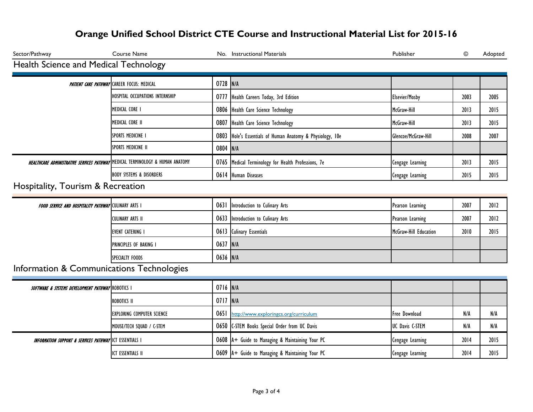| Sector/Pathway                                                                 | Course Name                                |          | No. Instructional Materials                               | Publisher             | ©    | Adopted |  |
|--------------------------------------------------------------------------------|--------------------------------------------|----------|-----------------------------------------------------------|-----------------------|------|---------|--|
| Health Science and Medical Technology                                          |                                            |          |                                                           |                       |      |         |  |
|                                                                                | PATIENT CARE PATHWAY CAREER FOCUS: MEDICAL | 0728 N/A |                                                           |                       |      |         |  |
|                                                                                | HOSPITAL OCCUPATIONS INTERNSHIP            |          | 0777 Health Careers Today, 3rd Edition                    | <b>Elsevier/Mosby</b> | 2003 | 2005    |  |
|                                                                                | MEDICAL CORE I                             |          | 0806 Health Care Science Technology                       | McGraw-Hill           | 2013 | 2015    |  |
|                                                                                | MEDICAL CORE II                            |          | 0807 Health Care Science Technology                       | McGraw-Hill           | 2013 | 2015    |  |
|                                                                                | <b>SPORTS MEDICINE I</b>                   |          | 0803 Hole's Essentials of Human Anatomy & Physiology, 10e | Glencoe/McGraw-Hill   | 2008 | 2007    |  |
|                                                                                | SPORTS MEDICINE II                         | 0804 N/A |                                                           |                       |      |         |  |
| HEALTHCARE ADMINISTRATIVE SERVICES PATHWAY MEDICAL TERMINOLOGY & HUMAN ANATOMY |                                            |          | 0765 Medical Terminology for Health Professions, 7e       | Cengage Learning      | 2013 | 2015    |  |
|                                                                                | <b>BODY SYSTEMS &amp; DISORDERS</b>        |          | 0614 Human Diseases                                       | Cengage Learning      | 2015 | 2015    |  |
| Hospitality, Tourism & Recreation                                              |                                            |          |                                                           |                       |      |         |  |
| <b>FOOD SERVICE AND HOSPITALITY PATHWAY</b> CULINARY ARTS I                    |                                            | 0631     | Introduction to Culinary Arts                             | Pearson Learning      | 2007 | 2012    |  |
|                                                                                | <b>CULINARY ARTS II</b>                    |          | 0633 Introduction to Culinary Arts                        | Pearson Learning      | 2007 | 2012    |  |
|                                                                                | <b>EVENT CATERING I</b>                    |          | 0613 Culinary Essentials                                  | McGraw-Hill Education | 2010 | 2015    |  |
|                                                                                | PRINCIPLES OF BAKING I                     | 0637 N/A |                                                           |                       |      |         |  |
|                                                                                | SPECIALTY FOODS                            | 0636 N/A |                                                           |                       |      |         |  |
| Information & Communications Technologies                                      |                                            |          |                                                           |                       |      |         |  |
| SOFTWARE & SYSTEMS DEVELOPMENT PATHWAY ROBOTICS I                              |                                            | 0716 N/A |                                                           |                       |      |         |  |
|                                                                                | <b>ROBOTICS II</b>                         | 0717 N/A |                                                           |                       |      |         |  |
|                                                                                | <b>EXPLORING COMPUTER SCIENCE</b>          |          | 0651 http://www.exploringcs.org/curriculum                | Free Download         | N/A  | N/A     |  |
|                                                                                | MOUSE/TECH SQUAD / C-STEM                  |          | 0650 C-STEM Books Special Order from UC Davis             | UC Davis C-STEM       | N/A  | N/A     |  |
| INFORMATION SUPPORT & SERVICES PATHWAY ICT ESSENTIALS I                        |                                            |          | 0608   A+ Guide to Managing & Maintaining Your PC         | Cengage Learning      | 2014 | 2015    |  |
|                                                                                | ICT ESSENTIALS II                          |          | 0609 A+ Guide to Managing & Maintaining Your PC           | Cengage Learning      | 2014 | 2015    |  |